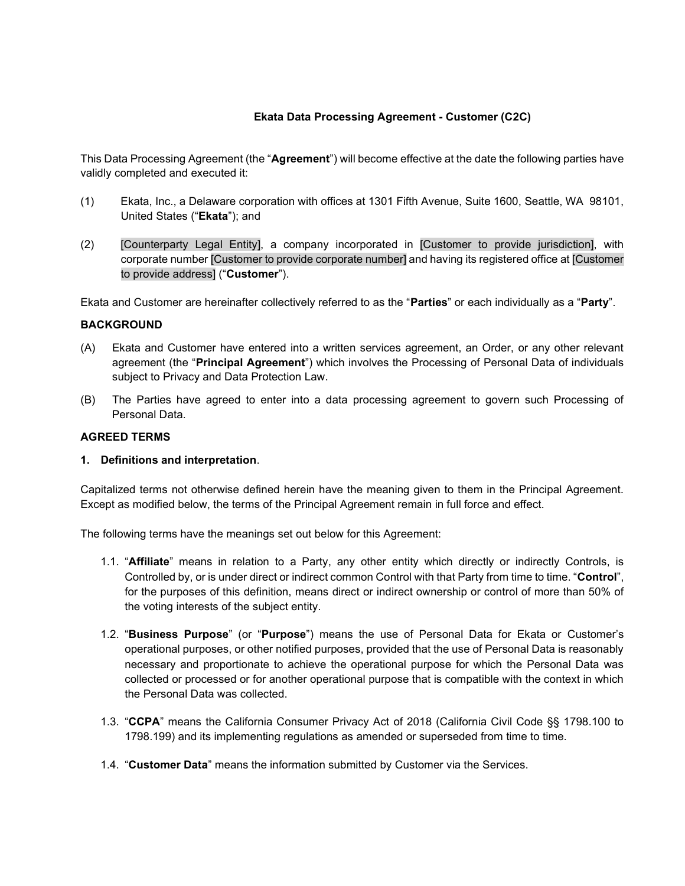# Ekata Data Processing Agreement - Customer (C2C)

This Data Processing Agreement (the "Agreement") will become effective at the date the following parties have validly completed and executed it:

- (1) Ekata, Inc., a Delaware corporation with offices at 1301 Fifth Avenue, Suite 1600, Seattle, WA 98101, United States ("Ekata"); and
- (2) [Counterparty Legal Entity], a company incorporated in [Customer to provide jurisdiction], with corporate number [Customer to provide corporate number] and having its registered office at [Customer to provide address] ("Customer").

Ekata and Customer are hereinafter collectively referred to as the "Parties" or each individually as a "Party".

#### BACKGROUND

- (A) Ekata and Customer have entered into a written services agreement, an Order, or any other relevant agreement (the "Principal Agreement") which involves the Processing of Personal Data of individuals subject to Privacy and Data Protection Law.
- (B) The Parties have agreed to enter into a data processing agreement to govern such Processing of Personal Data.

#### AGREED TERMS

#### 1. Definitions and interpretation.

Capitalized terms not otherwise defined herein have the meaning given to them in the Principal Agreement. Except as modified below, the terms of the Principal Agreement remain in full force and effect.

The following terms have the meanings set out below for this Agreement:

- 1.1. "Affiliate" means in relation to a Party, any other entity which directly or indirectly Controls, is Controlled by, or is under direct or indirect common Control with that Party from time to time. "Control", for the purposes of this definition, means direct or indirect ownership or control of more than 50% of the voting interests of the subject entity.
- 1.2. "Business Purpose" (or "Purpose") means the use of Personal Data for Ekata or Customer's operational purposes, or other notified purposes, provided that the use of Personal Data is reasonably necessary and proportionate to achieve the operational purpose for which the Personal Data was collected or processed or for another operational purpose that is compatible with the context in which the Personal Data was collected.
- 1.3. "CCPA" means the California Consumer Privacy Act of 2018 (California Civil Code §§ 1798.100 to 1798.199) and its implementing regulations as amended or superseded from time to time.
- 1.4. "Customer Data" means the information submitted by Customer via the Services.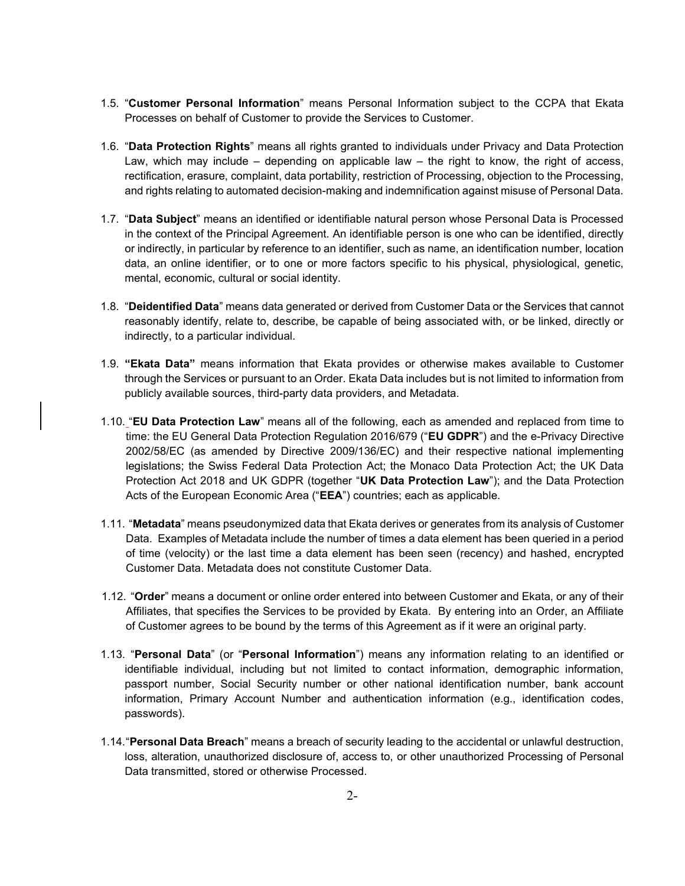- 1.5. "Customer Personal Information" means Personal Information subject to the CCPA that Ekata Processes on behalf of Customer to provide the Services to Customer.
- 1.6. "Data Protection Rights" means all rights granted to individuals under Privacy and Data Protection Law, which may include – depending on applicable law – the right to know, the right of access, rectification, erasure, complaint, data portability, restriction of Processing, objection to the Processing, and rights relating to automated decision-making and indemnification against misuse of Personal Data.
- 1.7. "Data Subject" means an identified or identifiable natural person whose Personal Data is Processed in the context of the Principal Agreement. An identifiable person is one who can be identified, directly or indirectly, in particular by reference to an identifier, such as name, an identification number, location data, an online identifier, or to one or more factors specific to his physical, physiological, genetic, mental, economic, cultural or social identity.
- 1.8. "Deidentified Data" means data generated or derived from Customer Data or the Services that cannot reasonably identify, relate to, describe, be capable of being associated with, or be linked, directly or indirectly, to a particular individual.
- 1.9. "Ekata Data" means information that Ekata provides or otherwise makes available to Customer through the Services or pursuant to an Order. Ekata Data includes but is not limited to information from publicly available sources, third-party data providers, and Metadata.
- 1.10. "**EU Data Protection Law**" means all of the following, each as amended and replaced from time to time: the EU General Data Protection Regulation 2016/679 ("EU GDPR") and the e-Privacy Directive 2002/58/EC (as amended by Directive 2009/136/EC) and their respective national implementing legislations; the Swiss Federal Data Protection Act; the Monaco Data Protection Act; the UK Data Protection Act 2018 and UK GDPR (together "UK Data Protection Law"); and the Data Protection Acts of the European Economic Area ("EEA") countries; each as applicable.
- 1.11. "Metadata" means pseudonymized data that Ekata derives or generates from its analysis of Customer Data. Examples of Metadata include the number of times a data element has been queried in a period of time (velocity) or the last time a data element has been seen (recency) and hashed, encrypted Customer Data. Metadata does not constitute Customer Data.
- 1.12. "Order" means a document or online order entered into between Customer and Ekata, or any of their Affiliates, that specifies the Services to be provided by Ekata. By entering into an Order, an Affiliate of Customer agrees to be bound by the terms of this Agreement as if it were an original party.
- 1.13. "Personal Data" (or "Personal Information") means any information relating to an identified or identifiable individual, including but not limited to contact information, demographic information, passport number, Social Security number or other national identification number, bank account information, Primary Account Number and authentication information (e.g., identification codes, passwords).
- 1.14. "Personal Data Breach" means a breach of security leading to the accidental or unlawful destruction, loss, alteration, unauthorized disclosure of, access to, or other unauthorized Processing of Personal Data transmitted, stored or otherwise Processed.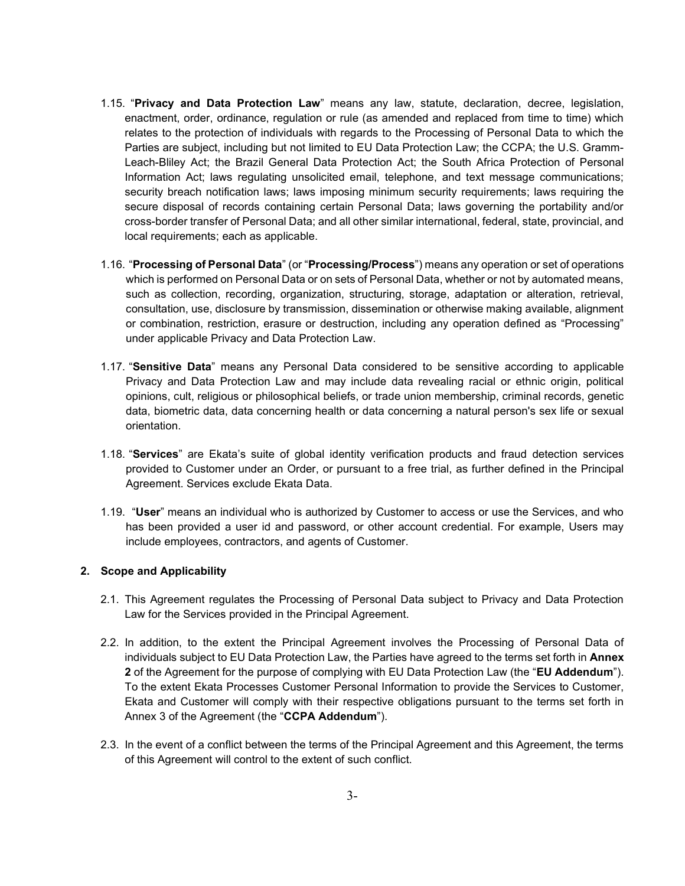- 1.15. "Privacy and Data Protection Law" means any law, statute, declaration, decree, legislation, enactment, order, ordinance, regulation or rule (as amended and replaced from time to time) which relates to the protection of individuals with regards to the Processing of Personal Data to which the Parties are subject, including but not limited to EU Data Protection Law; the CCPA; the U.S. Gramm-Leach-Bliley Act; the Brazil General Data Protection Act; the South Africa Protection of Personal Information Act; laws regulating unsolicited email, telephone, and text message communications; security breach notification laws; laws imposing minimum security requirements; laws requiring the secure disposal of records containing certain Personal Data; laws governing the portability and/or cross-border transfer of Personal Data; and all other similar international, federal, state, provincial, and local requirements; each as applicable.
- 1.16. "Processing of Personal Data" (or "Processing/Process") means any operation or set of operations which is performed on Personal Data or on sets of Personal Data, whether or not by automated means, such as collection, recording, organization, structuring, storage, adaptation or alteration, retrieval, consultation, use, disclosure by transmission, dissemination or otherwise making available, alignment or combination, restriction, erasure or destruction, including any operation defined as "Processing" under applicable Privacy and Data Protection Law.
- 1.17. "Sensitive Data" means any Personal Data considered to be sensitive according to applicable Privacy and Data Protection Law and may include data revealing racial or ethnic origin, political opinions, cult, religious or philosophical beliefs, or trade union membership, criminal records, genetic data, biometric data, data concerning health or data concerning a natural person's sex life or sexual orientation.
- 1.18. "Services" are Ekata's suite of global identity verification products and fraud detection services provided to Customer under an Order, or pursuant to a free trial, as further defined in the Principal Agreement. Services exclude Ekata Data.
- 1.19. "User" means an individual who is authorized by Customer to access or use the Services, and who has been provided a user id and password, or other account credential. For example, Users may include employees, contractors, and agents of Customer.

#### 2. Scope and Applicability

- 2.1. This Agreement regulates the Processing of Personal Data subject to Privacy and Data Protection Law for the Services provided in the Principal Agreement.
- 2.2. In addition, to the extent the Principal Agreement involves the Processing of Personal Data of individuals subject to EU Data Protection Law, the Parties have agreed to the terms set forth in Annex 2 of the Agreement for the purpose of complying with EU Data Protection Law (the "EU Addendum"). To the extent Ekata Processes Customer Personal Information to provide the Services to Customer, Ekata and Customer will comply with their respective obligations pursuant to the terms set forth in Annex 3 of the Agreement (the "CCPA Addendum").
- 2.3. In the event of a conflict between the terms of the Principal Agreement and this Agreement, the terms of this Agreement will control to the extent of such conflict.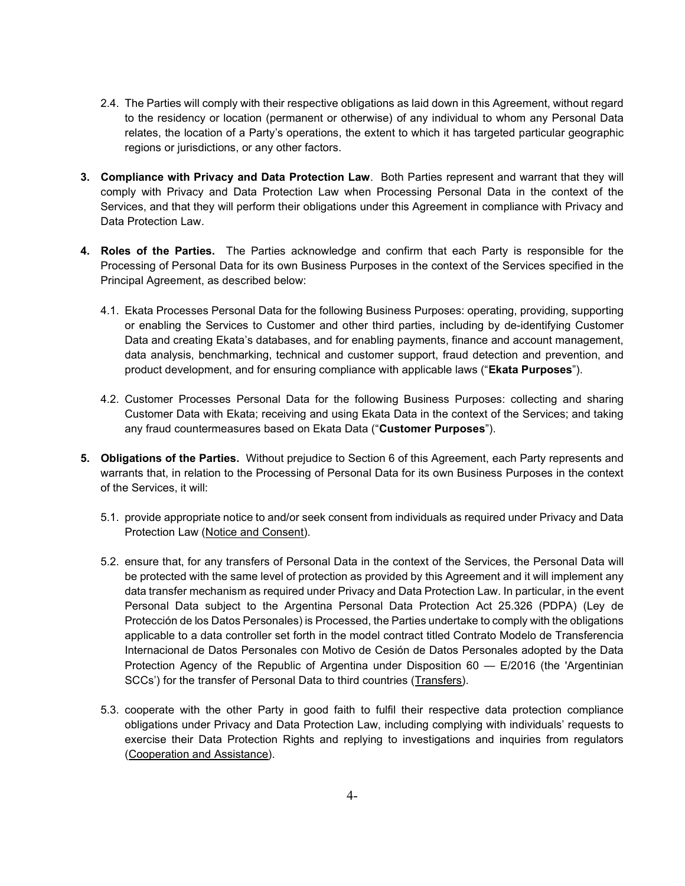- 2.4. The Parties will comply with their respective obligations as laid down in this Agreement, without regard to the residency or location (permanent or otherwise) of any individual to whom any Personal Data relates, the location of a Party's operations, the extent to which it has targeted particular geographic regions or jurisdictions, or any other factors.
- 3. Compliance with Privacy and Data Protection Law. Both Parties represent and warrant that they will comply with Privacy and Data Protection Law when Processing Personal Data in the context of the Services, and that they will perform their obligations under this Agreement in compliance with Privacy and Data Protection Law.
- 4. Roles of the Parties. The Parties acknowledge and confirm that each Party is responsible for the Processing of Personal Data for its own Business Purposes in the context of the Services specified in the Principal Agreement, as described below:
	- 4.1. Ekata Processes Personal Data for the following Business Purposes: operating, providing, supporting or enabling the Services to Customer and other third parties, including by de-identifying Customer Data and creating Ekata's databases, and for enabling payments, finance and account management, data analysis, benchmarking, technical and customer support, fraud detection and prevention, and product development, and for ensuring compliance with applicable laws ("Ekata Purposes").
	- 4.2. Customer Processes Personal Data for the following Business Purposes: collecting and sharing Customer Data with Ekata; receiving and using Ekata Data in the context of the Services; and taking any fraud countermeasures based on Ekata Data ("Customer Purposes").
- 5. Obligations of the Parties. Without prejudice to Section 6 of this Agreement, each Party represents and warrants that, in relation to the Processing of Personal Data for its own Business Purposes in the context of the Services, it will:
	- 5.1. provide appropriate notice to and/or seek consent from individuals as required under Privacy and Data Protection Law (Notice and Consent).
	- 5.2. ensure that, for any transfers of Personal Data in the context of the Services, the Personal Data will be protected with the same level of protection as provided by this Agreement and it will implement any data transfer mechanism as required under Privacy and Data Protection Law. In particular, in the event Personal Data subject to the Argentina Personal Data Protection Act 25.326 (PDPA) (Ley de Protección de los Datos Personales) is Processed, the Parties undertake to comply with the obligations applicable to a data controller set forth in the model contract titled Contrato Modelo de Transferencia Internacional de Datos Personales con Motivo de Cesión de Datos Personales adopted by the Data Protection Agency of the Republic of Argentina under Disposition 60 — E/2016 (the 'Argentinian SCCs') for the transfer of Personal Data to third countries (Transfers).
	- 5.3. cooperate with the other Party in good faith to fulfil their respective data protection compliance obligations under Privacy and Data Protection Law, including complying with individuals' requests to exercise their Data Protection Rights and replying to investigations and inquiries from regulators (Cooperation and Assistance).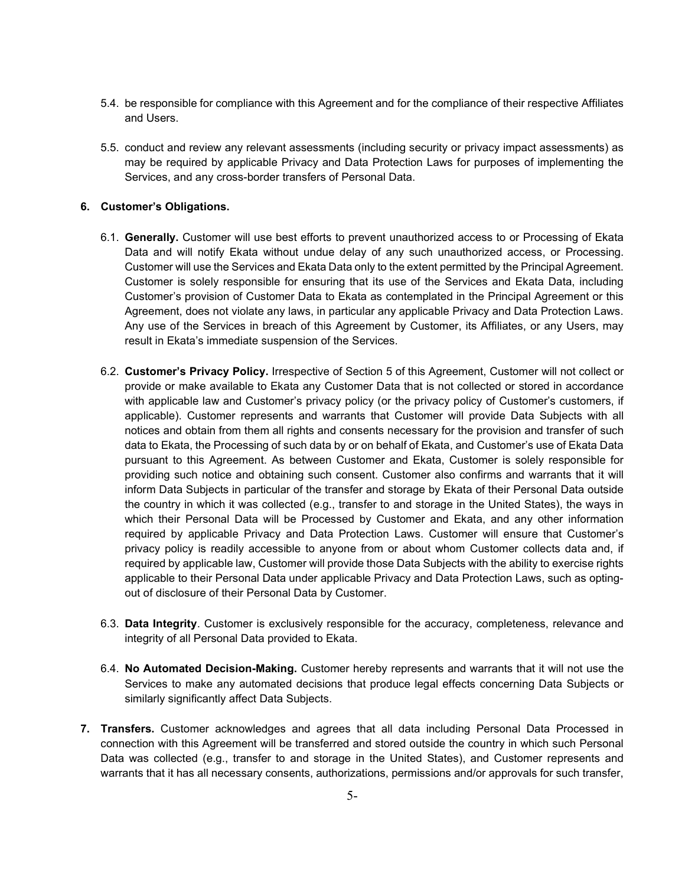- 5.4. be responsible for compliance with this Agreement and for the compliance of their respective Affiliates and Users.
- 5.5. conduct and review any relevant assessments (including security or privacy impact assessments) as may be required by applicable Privacy and Data Protection Laws for purposes of implementing the Services, and any cross-border transfers of Personal Data.

#### 6. Customer's Obligations.

- 6.1. Generally. Customer will use best efforts to prevent unauthorized access to or Processing of Ekata Data and will notify Ekata without undue delay of any such unauthorized access, or Processing. Customer will use the Services and Ekata Data only to the extent permitted by the Principal Agreement. Customer is solely responsible for ensuring that its use of the Services and Ekata Data, including Customer's provision of Customer Data to Ekata as contemplated in the Principal Agreement or this Agreement, does not violate any laws, in particular any applicable Privacy and Data Protection Laws. Any use of the Services in breach of this Agreement by Customer, its Affiliates, or any Users, may result in Ekata's immediate suspension of the Services.
- 6.2. Customer's Privacy Policy. Irrespective of Section 5 of this Agreement, Customer will not collect or provide or make available to Ekata any Customer Data that is not collected or stored in accordance with applicable law and Customer's privacy policy (or the privacy policy of Customer's customers, if applicable). Customer represents and warrants that Customer will provide Data Subjects with all notices and obtain from them all rights and consents necessary for the provision and transfer of such data to Ekata, the Processing of such data by or on behalf of Ekata, and Customer's use of Ekata Data pursuant to this Agreement. As between Customer and Ekata, Customer is solely responsible for providing such notice and obtaining such consent. Customer also confirms and warrants that it will inform Data Subjects in particular of the transfer and storage by Ekata of their Personal Data outside the country in which it was collected (e.g., transfer to and storage in the United States), the ways in which their Personal Data will be Processed by Customer and Ekata, and any other information required by applicable Privacy and Data Protection Laws. Customer will ensure that Customer's privacy policy is readily accessible to anyone from or about whom Customer collects data and, if required by applicable law, Customer will provide those Data Subjects with the ability to exercise rights applicable to their Personal Data under applicable Privacy and Data Protection Laws, such as optingout of disclosure of their Personal Data by Customer.
- 6.3. Data Integrity. Customer is exclusively responsible for the accuracy, completeness, relevance and integrity of all Personal Data provided to Ekata.
- 6.4. No Automated Decision-Making. Customer hereby represents and warrants that it will not use the Services to make any automated decisions that produce legal effects concerning Data Subjects or similarly significantly affect Data Subjects.
- 7. Transfers. Customer acknowledges and agrees that all data including Personal Data Processed in connection with this Agreement will be transferred and stored outside the country in which such Personal Data was collected (e.g., transfer to and storage in the United States), and Customer represents and warrants that it has all necessary consents, authorizations, permissions and/or approvals for such transfer,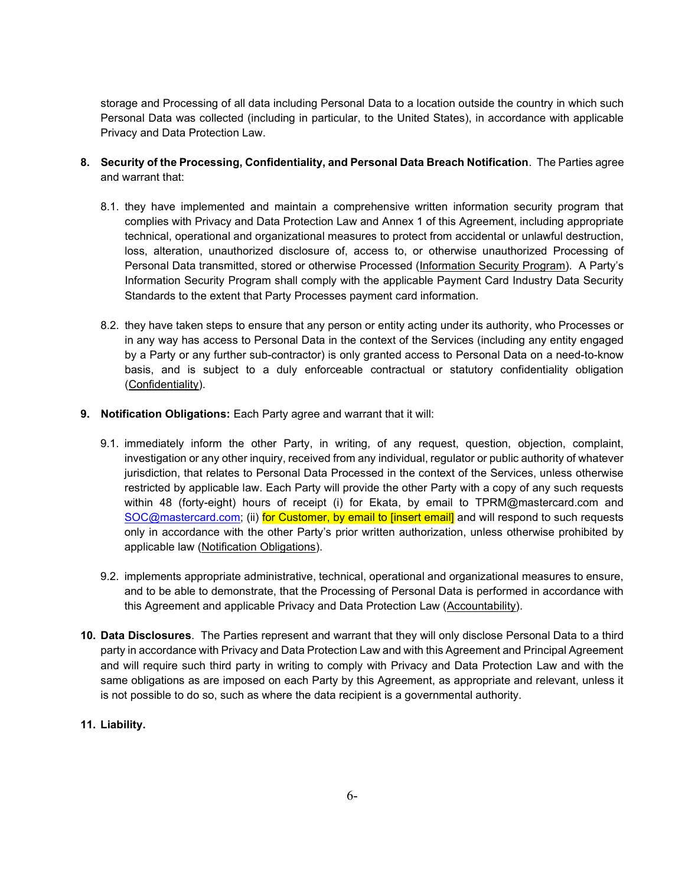storage and Processing of all data including Personal Data to a location outside the country in which such Personal Data was collected (including in particular, to the United States), in accordance with applicable Privacy and Data Protection Law.

- 8. Security of the Processing, Confidentiality, and Personal Data Breach Notification. The Parties agree and warrant that:
	- 8.1. they have implemented and maintain a comprehensive written information security program that complies with Privacy and Data Protection Law and Annex 1 of this Agreement, including appropriate technical, operational and organizational measures to protect from accidental or unlawful destruction, loss, alteration, unauthorized disclosure of, access to, or otherwise unauthorized Processing of Personal Data transmitted, stored or otherwise Processed (Information Security Program). A Party's Information Security Program shall comply with the applicable Payment Card Industry Data Security Standards to the extent that Party Processes payment card information.
	- 8.2. they have taken steps to ensure that any person or entity acting under its authority, who Processes or in any way has access to Personal Data in the context of the Services (including any entity engaged by a Party or any further sub-contractor) is only granted access to Personal Data on a need-to-know basis, and is subject to a duly enforceable contractual or statutory confidentiality obligation (Confidentiality).
- 9. Notification Obligations: Each Party agree and warrant that it will:
	- 9.1. immediately inform the other Party, in writing, of any request, question, objection, complaint, investigation or any other inquiry, received from any individual, regulator or public authority of whatever jurisdiction, that relates to Personal Data Processed in the context of the Services, unless otherwise restricted by applicable law. Each Party will provide the other Party with a copy of any such requests within 48 (forty-eight) hours of receipt (i) for Ekata, by email to TPRM@mastercard.com and SOC@mastercard.com; (ii) for Customer, by email to [insert email] and will respond to such requests only in accordance with the other Party's prior written authorization, unless otherwise prohibited by applicable law (Notification Obligations).
	- 9.2. implements appropriate administrative, technical, operational and organizational measures to ensure, and to be able to demonstrate, that the Processing of Personal Data is performed in accordance with this Agreement and applicable Privacy and Data Protection Law (Accountability).
- 10. Data Disclosures. The Parties represent and warrant that they will only disclose Personal Data to a third party in accordance with Privacy and Data Protection Law and with this Agreement and Principal Agreement and will require such third party in writing to comply with Privacy and Data Protection Law and with the same obligations as are imposed on each Party by this Agreement, as appropriate and relevant, unless it is not possible to do so, such as where the data recipient is a governmental authority.

#### 11. Liability.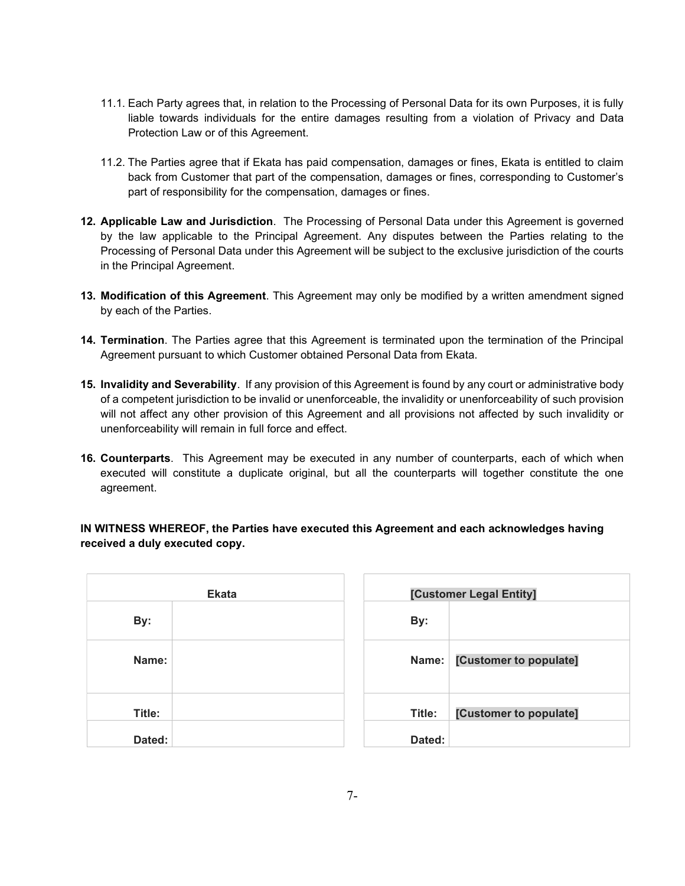- 11.1. Each Party agrees that, in relation to the Processing of Personal Data for its own Purposes, it is fully liable towards individuals for the entire damages resulting from a violation of Privacy and Data Protection Law or of this Agreement.
- 11.2. The Parties agree that if Ekata has paid compensation, damages or fines, Ekata is entitled to claim back from Customer that part of the compensation, damages or fines, corresponding to Customer's part of responsibility for the compensation, damages or fines.
- 12. Applicable Law and Jurisdiction. The Processing of Personal Data under this Agreement is governed by the law applicable to the Principal Agreement. Any disputes between the Parties relating to the Processing of Personal Data under this Agreement will be subject to the exclusive jurisdiction of the courts in the Principal Agreement.
- 13. Modification of this Agreement. This Agreement may only be modified by a written amendment signed by each of the Parties.
- 14. Termination. The Parties agree that this Agreement is terminated upon the termination of the Principal Agreement pursuant to which Customer obtained Personal Data from Ekata.
- 15. Invalidity and Severability. If any provision of this Agreement is found by any court or administrative body of a competent jurisdiction to be invalid or unenforceable, the invalidity or unenforceability of such provision will not affect any other provision of this Agreement and all provisions not affected by such invalidity or unenforceability will remain in full force and effect.
- 16. Counterparts. This Agreement may be executed in any number of counterparts, each of which when executed will constitute a duplicate original, but all the counterparts will together constitute the one agreement.

IN WITNESS WHEREOF, the Parties have executed this Agreement and each acknowledges having received a duly executed copy.

| <b>Ekata</b> |  | [Customer Legal Entity] |                        |
|--------------|--|-------------------------|------------------------|
| By:          |  | By:                     |                        |
| Name:        |  | Name:                   | [Customer to populate] |
| Title:       |  | Title:                  | [Customer to populate] |
| Dated:       |  | Dated:                  |                        |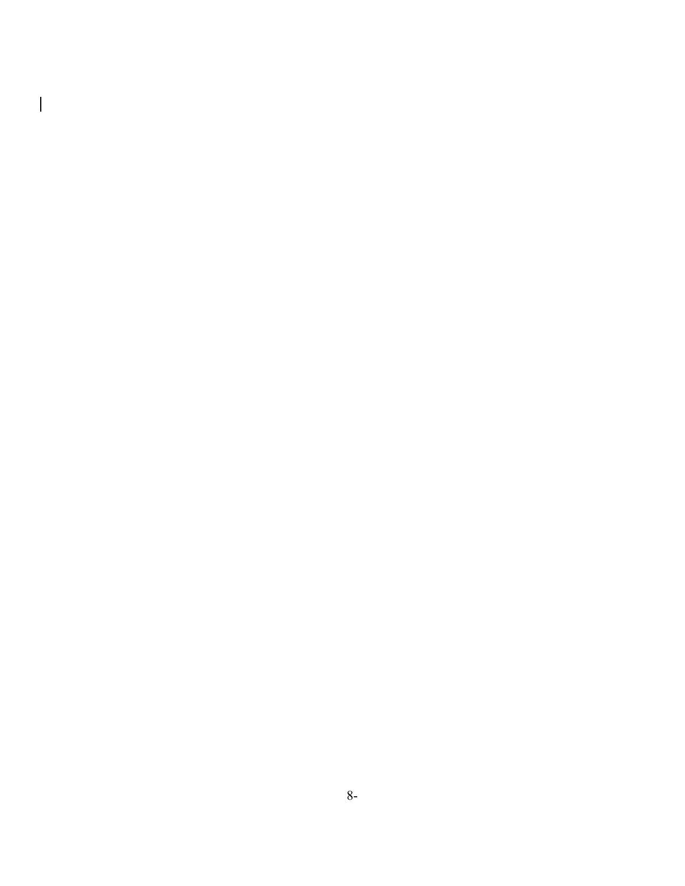8-

 $\begin{array}{c} \end{array}$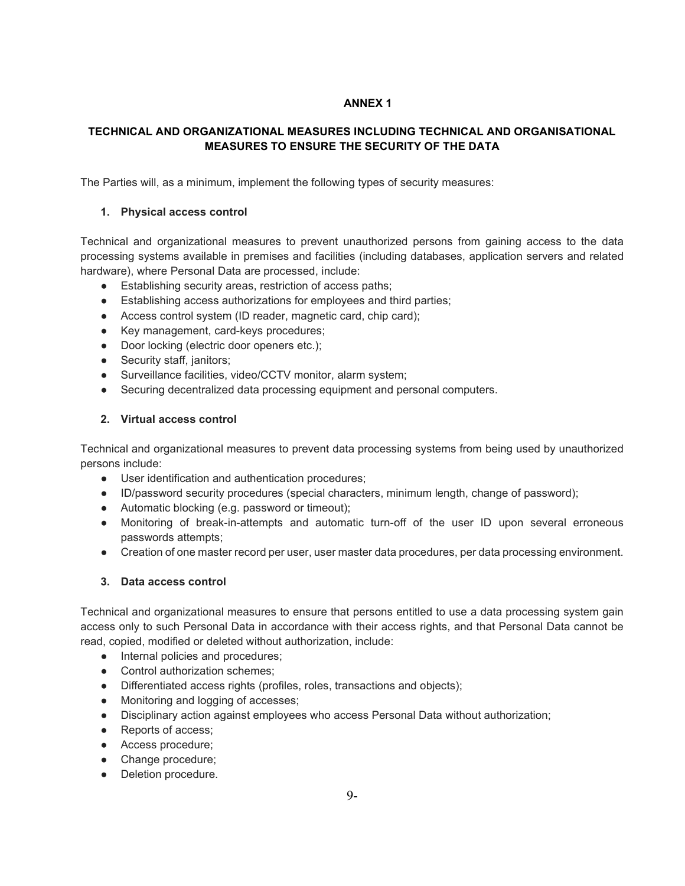## ANNEX 1

# TECHNICAL AND ORGANIZATIONAL MEASURES INCLUDING TECHNICAL AND ORGANISATIONAL MEASURES TO ENSURE THE SECURITY OF THE DATA

The Parties will, as a minimum, implement the following types of security measures:

## 1. Physical access control

Technical and organizational measures to prevent unauthorized persons from gaining access to the data processing systems available in premises and facilities (including databases, application servers and related hardware), where Personal Data are processed, include:

- Establishing security areas, restriction of access paths;
- Establishing access authorizations for employees and third parties;
- Access control system (ID reader, magnetic card, chip card);
- Key management, card-keys procedures;
- Door locking (electric door openers etc.);
- Security staff, janitors;
- Surveillance facilities, video/CCTV monitor, alarm system;
- Securing decentralized data processing equipment and personal computers.

#### 2. Virtual access control

Technical and organizational measures to prevent data processing systems from being used by unauthorized persons include:

- User identification and authentication procedures;
- ID/password security procedures (special characters, minimum length, change of password);
- Automatic blocking (e.g. password or timeout);
- Monitoring of break-in-attempts and automatic turn-off of the user ID upon several erroneous passwords attempts;
- Creation of one master record per user, user master data procedures, per data processing environment.

#### 3. Data access control

Technical and organizational measures to ensure that persons entitled to use a data processing system gain access only to such Personal Data in accordance with their access rights, and that Personal Data cannot be read, copied, modified or deleted without authorization, include:

- Internal policies and procedures;
- Control authorization schemes;
- Differentiated access rights (profiles, roles, transactions and objects);
- Monitoring and logging of accesses;
- Disciplinary action against employees who access Personal Data without authorization;
- Reports of access;
- Access procedure;
- Change procedure;
- Deletion procedure.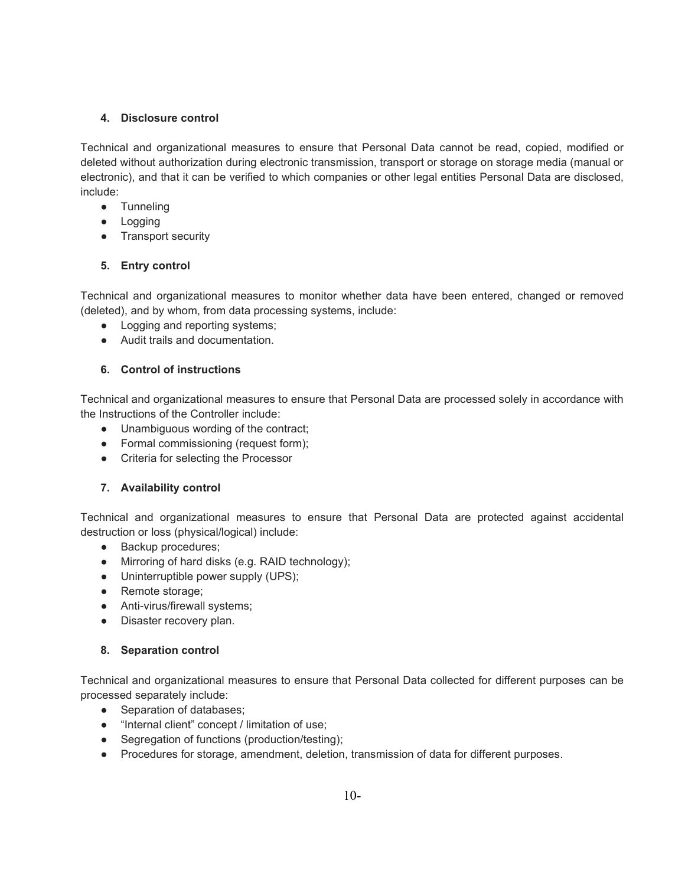# 4. Disclosure control

Technical and organizational measures to ensure that Personal Data cannot be read, copied, modified or deleted without authorization during electronic transmission, transport or storage on storage media (manual or electronic), and that it can be verified to which companies or other legal entities Personal Data are disclosed, include:

- Tunneling
- Logging
- Transport security

# 5. Entry control

Technical and organizational measures to monitor whether data have been entered, changed or removed (deleted), and by whom, from data processing systems, include:

- Logging and reporting systems;
- Audit trails and documentation.

# 6. Control of instructions

Technical and organizational measures to ensure that Personal Data are processed solely in accordance with the Instructions of the Controller include:

- Unambiguous wording of the contract;
- Formal commissioning (request form);
- Criteria for selecting the Processor

## 7. Availability control

Technical and organizational measures to ensure that Personal Data are protected against accidental destruction or loss (physical/logical) include:

- Backup procedures;
- Mirroring of hard disks (e.g. RAID technology);
- Uninterruptible power supply (UPS);
- Remote storage;
- Anti-virus/firewall systems;
- Disaster recovery plan.

## 8. Separation control

Technical and organizational measures to ensure that Personal Data collected for different purposes can be processed separately include:

- Separation of databases;
- "Internal client" concept / limitation of use;
- Segregation of functions (production/testing);
- Procedures for storage, amendment, deletion, transmission of data for different purposes.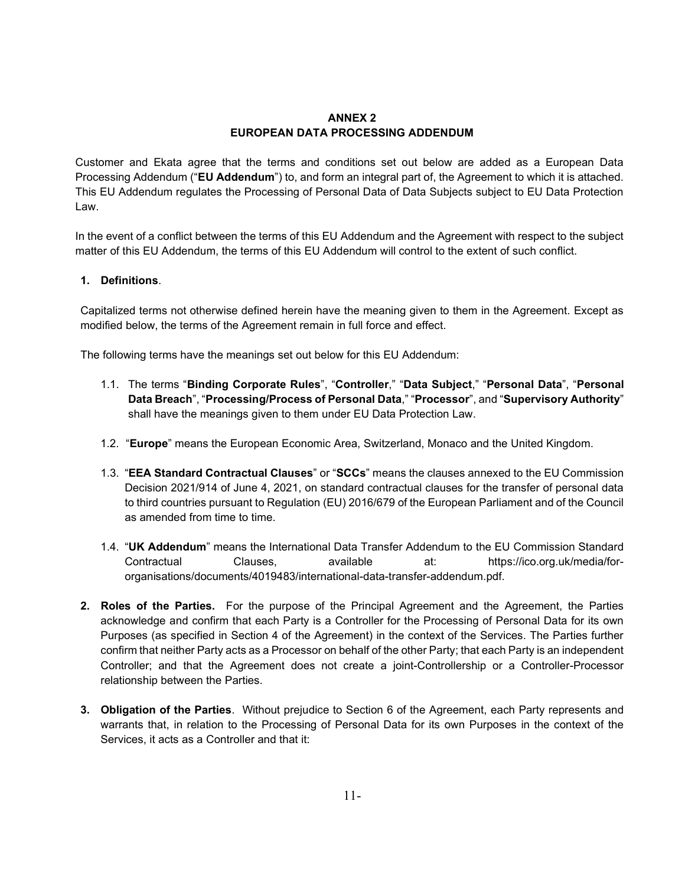## ANNEX 2 EUROPEAN DATA PROCESSING ADDENDUM

Customer and Ekata agree that the terms and conditions set out below are added as a European Data Processing Addendum ("EU Addendum") to, and form an integral part of, the Agreement to which it is attached. This EU Addendum regulates the Processing of Personal Data of Data Subjects subject to EU Data Protection Law.

In the event of a conflict between the terms of this EU Addendum and the Agreement with respect to the subject matter of this EU Addendum, the terms of this EU Addendum will control to the extent of such conflict.

## 1. Definitions.

Capitalized terms not otherwise defined herein have the meaning given to them in the Agreement. Except as modified below, the terms of the Agreement remain in full force and effect.

The following terms have the meanings set out below for this EU Addendum:

- 1.1. The terms "Binding Corporate Rules", "Controller," "Data Subject," "Personal Data", "Personal Data Breach", "Processing/Process of Personal Data," "Processor", and "Supervisory Authority" shall have the meanings given to them under EU Data Protection Law.
- 1.2. "Europe" means the European Economic Area, Switzerland, Monaco and the United Kingdom.
- 1.3. "EEA Standard Contractual Clauses" or "SCCs" means the clauses annexed to the EU Commission Decision 2021/914 of June 4, 2021, on standard contractual clauses for the transfer of personal data to third countries pursuant to Regulation (EU) 2016/679 of the European Parliament and of the Council as amended from time to time.
- 1.4. "UK Addendum" means the International Data Transfer Addendum to the EU Commission Standard Contractual Clauses, available at: https://ico.org.uk/media/fororganisations/documents/4019483/international-data-transfer-addendum.pdf.
- 2. Roles of the Parties. For the purpose of the Principal Agreement and the Agreement, the Parties acknowledge and confirm that each Party is a Controller for the Processing of Personal Data for its own Purposes (as specified in Section 4 of the Agreement) in the context of the Services. The Parties further confirm that neither Party acts as a Processor on behalf of the other Party; that each Party is an independent Controller; and that the Agreement does not create a joint-Controllership or a Controller-Processor relationship between the Parties.
- 3. Obligation of the Parties. Without prejudice to Section 6 of the Agreement, each Party represents and warrants that, in relation to the Processing of Personal Data for its own Purposes in the context of the Services, it acts as a Controller and that it: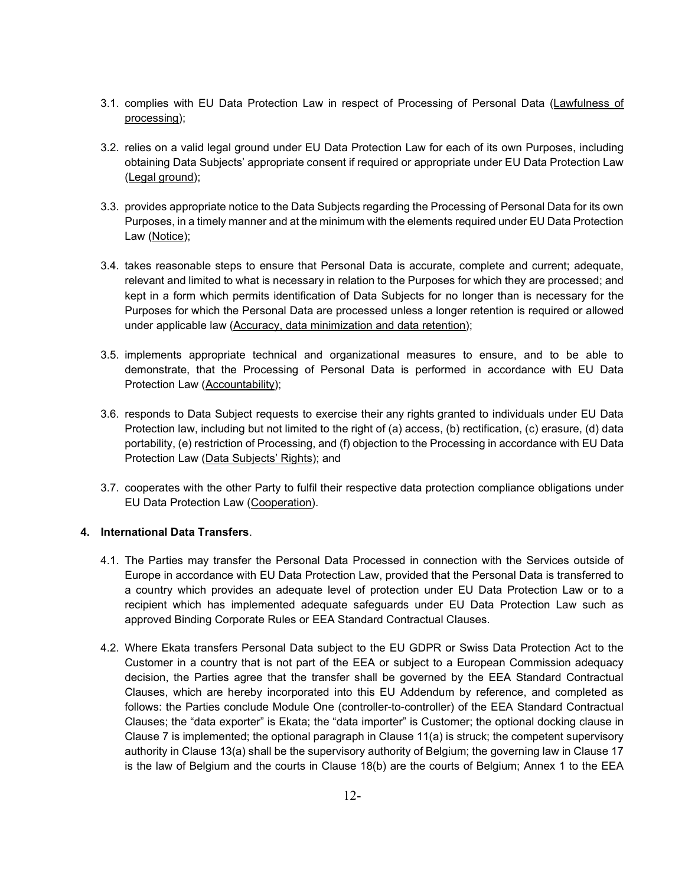- 3.1. complies with EU Data Protection Law in respect of Processing of Personal Data (Lawfulness of processing);
- 3.2. relies on a valid legal ground under EU Data Protection Law for each of its own Purposes, including obtaining Data Subjects' appropriate consent if required or appropriate under EU Data Protection Law (Legal ground);
- 3.3. provides appropriate notice to the Data Subjects regarding the Processing of Personal Data for its own Purposes, in a timely manner and at the minimum with the elements required under EU Data Protection Law (Notice);
- 3.4. takes reasonable steps to ensure that Personal Data is accurate, complete and current; adequate, relevant and limited to what is necessary in relation to the Purposes for which they are processed; and kept in a form which permits identification of Data Subjects for no longer than is necessary for the Purposes for which the Personal Data are processed unless a longer retention is required or allowed under applicable law (Accuracy, data minimization and data retention);
- 3.5. implements appropriate technical and organizational measures to ensure, and to be able to demonstrate, that the Processing of Personal Data is performed in accordance with EU Data Protection Law (Accountability);
- 3.6. responds to Data Subject requests to exercise their any rights granted to individuals under EU Data Protection law, including but not limited to the right of (a) access, (b) rectification, (c) erasure, (d) data portability, (e) restriction of Processing, and (f) objection to the Processing in accordance with EU Data Protection Law (Data Subjects' Rights); and
- 3.7. cooperates with the other Party to fulfil their respective data protection compliance obligations under EU Data Protection Law (Cooperation).

## 4. International Data Transfers.

- 4.1. The Parties may transfer the Personal Data Processed in connection with the Services outside of Europe in accordance with EU Data Protection Law, provided that the Personal Data is transferred to a country which provides an adequate level of protection under EU Data Protection Law or to a recipient which has implemented adequate safeguards under EU Data Protection Law such as approved Binding Corporate Rules or EEA Standard Contractual Clauses.
- 4.2. Where Ekata transfers Personal Data subject to the EU GDPR or Swiss Data Protection Act to the Customer in a country that is not part of the EEA or subject to a European Commission adequacy decision, the Parties agree that the transfer shall be governed by the EEA Standard Contractual Clauses, which are hereby incorporated into this EU Addendum by reference, and completed as follows: the Parties conclude Module One (controller-to-controller) of the EEA Standard Contractual Clauses; the "data exporter" is Ekata; the "data importer" is Customer; the optional docking clause in Clause 7 is implemented; the optional paragraph in Clause 11(a) is struck; the competent supervisory authority in Clause 13(a) shall be the supervisory authority of Belgium; the governing law in Clause 17 is the law of Belgium and the courts in Clause 18(b) are the courts of Belgium; Annex 1 to the EEA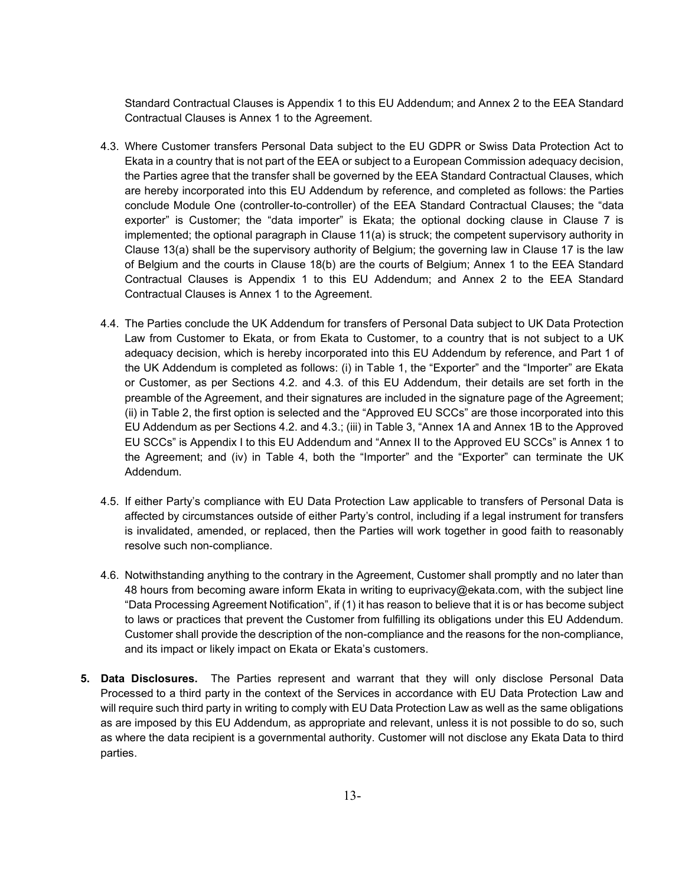Standard Contractual Clauses is Appendix 1 to this EU Addendum; and Annex 2 to the EEA Standard Contractual Clauses is Annex 1 to the Agreement.

- 4.3. Where Customer transfers Personal Data subject to the EU GDPR or Swiss Data Protection Act to Ekata in a country that is not part of the EEA or subject to a European Commission adequacy decision, the Parties agree that the transfer shall be governed by the EEA Standard Contractual Clauses, which are hereby incorporated into this EU Addendum by reference, and completed as follows: the Parties conclude Module One (controller-to-controller) of the EEA Standard Contractual Clauses; the "data exporter" is Customer; the "data importer" is Ekata; the optional docking clause in Clause 7 is implemented; the optional paragraph in Clause 11(a) is struck; the competent supervisory authority in Clause 13(a) shall be the supervisory authority of Belgium; the governing law in Clause 17 is the law of Belgium and the courts in Clause 18(b) are the courts of Belgium; Annex 1 to the EEA Standard Contractual Clauses is Appendix 1 to this EU Addendum; and Annex 2 to the EEA Standard Contractual Clauses is Annex 1 to the Agreement.
- 4.4. The Parties conclude the UK Addendum for transfers of Personal Data subject to UK Data Protection Law from Customer to Ekata, or from Ekata to Customer, to a country that is not subject to a UK adequacy decision, which is hereby incorporated into this EU Addendum by reference, and Part 1 of the UK Addendum is completed as follows: (i) in Table 1, the "Exporter" and the "Importer" are Ekata or Customer, as per Sections 4.2. and 4.3. of this EU Addendum, their details are set forth in the preamble of the Agreement, and their signatures are included in the signature page of the Agreement; (ii) in Table 2, the first option is selected and the "Approved EU SCCs" are those incorporated into this EU Addendum as per Sections 4.2. and 4.3.; (iii) in Table 3, "Annex 1A and Annex 1B to the Approved EU SCCs" is Appendix I to this EU Addendum and "Annex II to the Approved EU SCCs" is Annex 1 to the Agreement; and (iv) in Table 4, both the "Importer" and the "Exporter" can terminate the UK Addendum.
- 4.5. If either Party's compliance with EU Data Protection Law applicable to transfers of Personal Data is affected by circumstances outside of either Party's control, including if a legal instrument for transfers is invalidated, amended, or replaced, then the Parties will work together in good faith to reasonably resolve such non-compliance.
- 4.6. Notwithstanding anything to the contrary in the Agreement, Customer shall promptly and no later than 48 hours from becoming aware inform Ekata in writing to euprivacy@ekata.com, with the subject line "Data Processing Agreement Notification", if (1) it has reason to believe that it is or has become subject to laws or practices that prevent the Customer from fulfilling its obligations under this EU Addendum. Customer shall provide the description of the non-compliance and the reasons for the non-compliance, and its impact or likely impact on Ekata or Ekata's customers.
- 5. Data Disclosures. The Parties represent and warrant that they will only disclose Personal Data Processed to a third party in the context of the Services in accordance with EU Data Protection Law and will require such third party in writing to comply with EU Data Protection Law as well as the same obligations as are imposed by this EU Addendum, as appropriate and relevant, unless it is not possible to do so, such as where the data recipient is a governmental authority. Customer will not disclose any Ekata Data to third parties.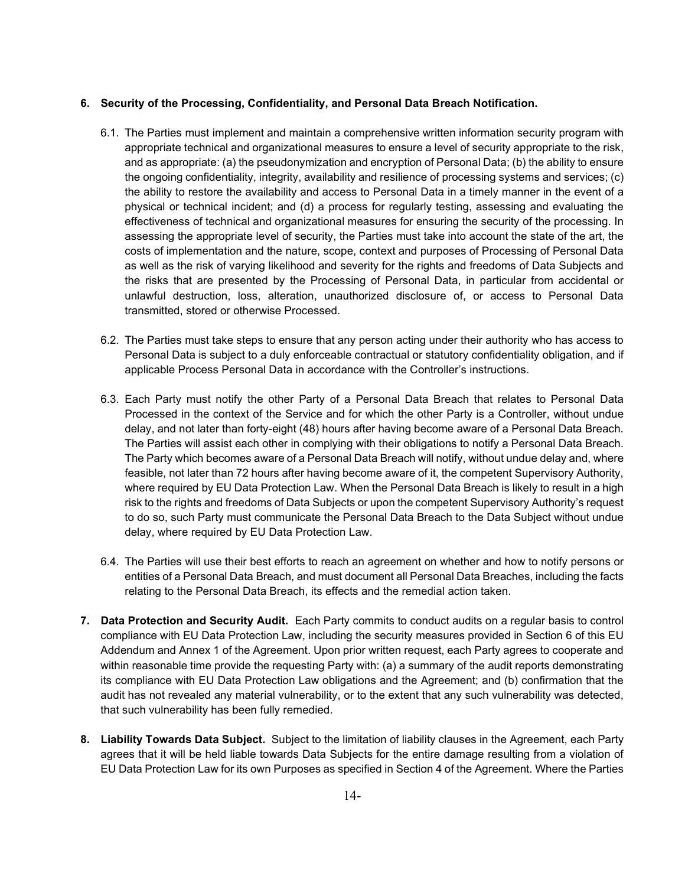#### 6. Security of the Processing, Confidentiality, and Personal Data Breach Notification.

- 6.1. The Parties must implement and maintain a comprehensive written information security program with appropriate technical and organizational measures to ensure a level of security appropriate to the risk, and as appropriate: (a) the pseudonymization and encryption of Personal Data; (b) the ability to ensure the ongoing confidentiality, integrity, availability and resilience of processing systems and services; (c) the ability to restore the availability and access to Personal Data in a timely manner in the event of a physical or technical incident; and (d) a process for regularly testing, assessing and evaluating the effectiveness of technical and organizational measures for ensuring the security of the processing. In assessing the appropriate level of security, the Parties must take into account the state of the art, the costs of implementation and the nature, scope, context and purposes of Processing of Personal Data as well as the risk of varying likelihood and severity for the rights and freedoms of Data Subjects and the risks that are presented by the Processing of Personal Data, in particular from accidental or unlawful destruction, loss, alteration, unauthorized disclosure of, or access to Personal Data transmitted, stored or otherwise Processed.
- 6.2. The Parties must take steps to ensure that any person acting under their authority who has access to Personal Data is subject to a duly enforceable contractual or statutory confidentiality obligation, and if applicable Process Personal Data in accordance with the Controller's instructions.
- 6.3. Each Party must notify the other Party of a Personal Data Breach that relates to Personal Data Processed in the context of the Service and for which the other Party is a Controller, without undue delay, and not later than forty-eight (48) hours after having become aware of a Personal Data Breach. The Parties will assist each other in complying with their obligations to notify a Personal Data Breach. The Party which becomes aware of a Personal Data Breach will notify, without undue delay and, where feasible, not later than 72 hours after having become aware of it, the competent Supervisory Authority, where required by EU Data Protection Law. When the Personal Data Breach is likely to result in a high risk to the rights and freedoms of Data Subjects or upon the competent Supervisory Authority's request to do so, such Party must communicate the Personal Data Breach to the Data Subject without undue delay, where required by EU Data Protection Law.
- 6.4. The Parties will use their best efforts to reach an agreement on whether and how to notify persons or entities of a Personal Data Breach, and must document all Personal Data Breaches, including the facts relating to the Personal Data Breach, its effects and the remedial action taken.
- 7. Data Protection and Security Audit. Each Party commits to conduct audits on a regular basis to control compliance with EU Data Protection Law, including the security measures provided in Section 6 of this EU Addendum and Annex 1 of the Agreement. Upon prior written request, each Party agrees to cooperate and within reasonable time provide the requesting Party with: (a) a summary of the audit reports demonstrating its compliance with EU Data Protection Law obligations and the Agreement; and (b) confirmation that the audit has not revealed any material vulnerability, or to the extent that any such vulnerability was detected, that such vulnerability has been fully remedied.
- 8. Liability Towards Data Subject. Subject to the limitation of liability clauses in the Agreement, each Party agrees that it will be held liable towards Data Subjects for the entire damage resulting from a violation of EU Data Protection Law for its own Purposes as specified in Section 4 of the Agreement. Where the Parties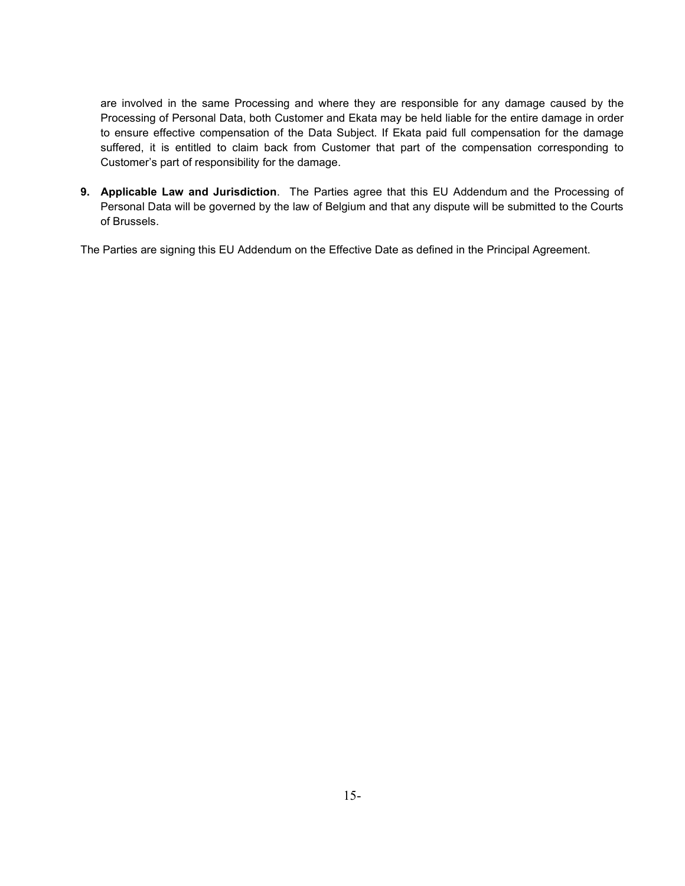are involved in the same Processing and where they are responsible for any damage caused by the Processing of Personal Data, both Customer and Ekata may be held liable for the entire damage in order to ensure effective compensation of the Data Subject. If Ekata paid full compensation for the damage suffered, it is entitled to claim back from Customer that part of the compensation corresponding to Customer's part of responsibility for the damage.

9. Applicable Law and Jurisdiction. The Parties agree that this EU Addendum and the Processing of Personal Data will be governed by the law of Belgium and that any dispute will be submitted to the Courts of Brussels.

The Parties are signing this EU Addendum on the Effective Date as defined in the Principal Agreement.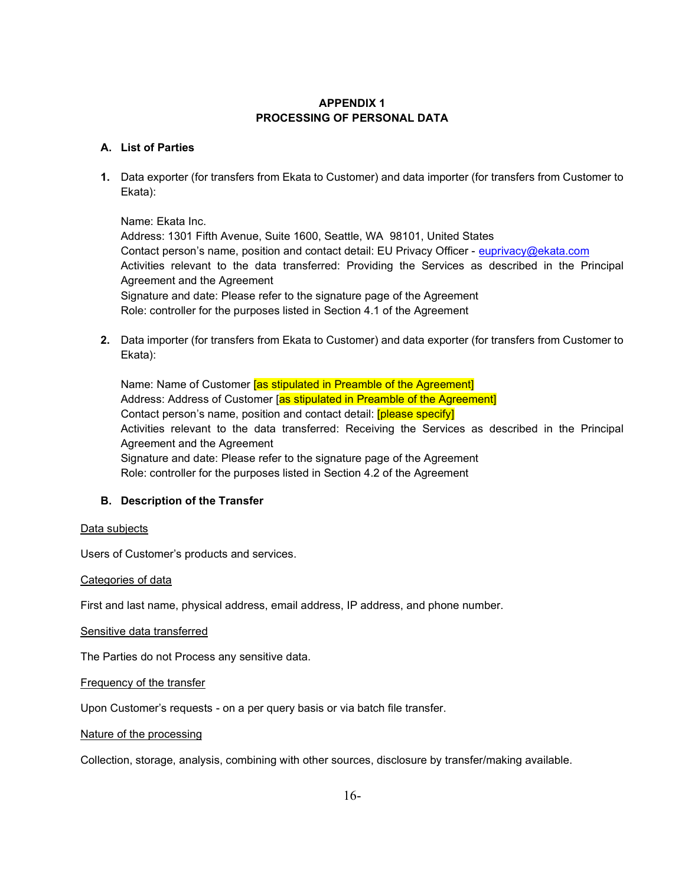# APPENDIX 1 PROCESSING OF PERSONAL DATA

## A. List of Parties

1. Data exporter (for transfers from Ekata to Customer) and data importer (for transfers from Customer to Ekata):

Name: Ekata Inc.

Address: 1301 Fifth Avenue, Suite 1600, Seattle, WA 98101, United States Contact person's name, position and contact detail: EU Privacy Officer - euprivacy@ekata.com Activities relevant to the data transferred: Providing the Services as described in the Principal Agreement and the Agreement Signature and date: Please refer to the signature page of the Agreement Role: controller for the purposes listed in Section 4.1 of the Agreement

2. Data importer (for transfers from Ekata to Customer) and data exporter (for transfers from Customer to Ekata):

Name: Name of Customer **[as stipulated in Preamble of the Agreement]** Address: Address of Customer [as stipulated in Preamble of the Agreement] Contact person's name, position and contact detail: **[please specify]** Activities relevant to the data transferred: Receiving the Services as described in the Principal Agreement and the Agreement Signature and date: Please refer to the signature page of the Agreement Role: controller for the purposes listed in Section 4.2 of the Agreement

## B. Description of the Transfer

## Data subjects

Users of Customer's products and services.

#### Categories of data

First and last name, physical address, email address, IP address, and phone number.

#### Sensitive data transferred

The Parties do not Process any sensitive data.

#### Frequency of the transfer

Upon Customer's requests - on a per query basis or via batch file transfer.

#### Nature of the processing

Collection, storage, analysis, combining with other sources, disclosure by transfer/making available.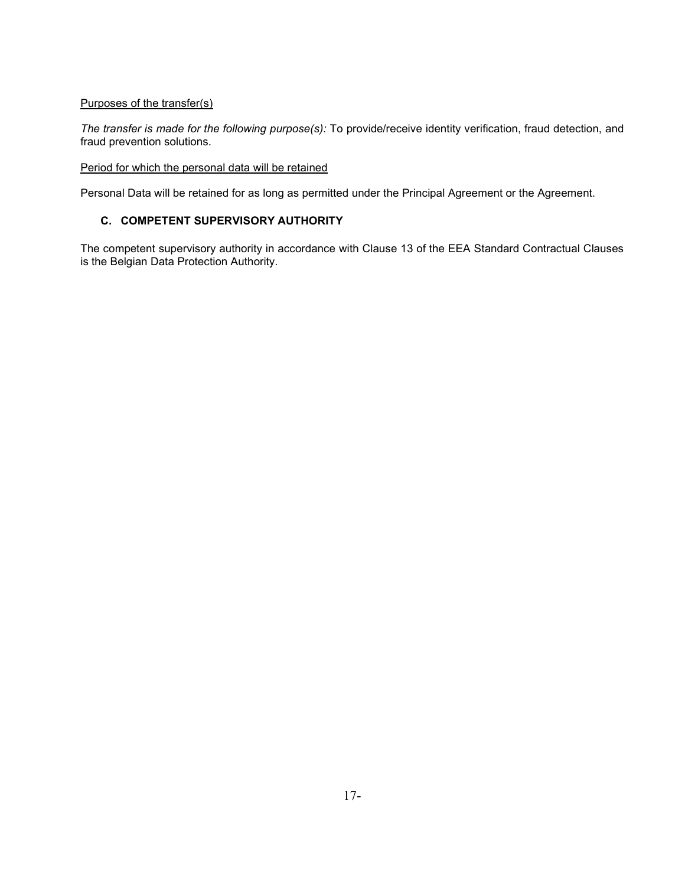## Purposes of the transfer(s)

The transfer is made for the following purpose(s): To provide/receive identity verification, fraud detection, and fraud prevention solutions.

#### Period for which the personal data will be retained

Personal Data will be retained for as long as permitted under the Principal Agreement or the Agreement.

## C. COMPETENT SUPERVISORY AUTHORITY

The competent supervisory authority in accordance with Clause 13 of the EEA Standard Contractual Clauses is the Belgian Data Protection Authority.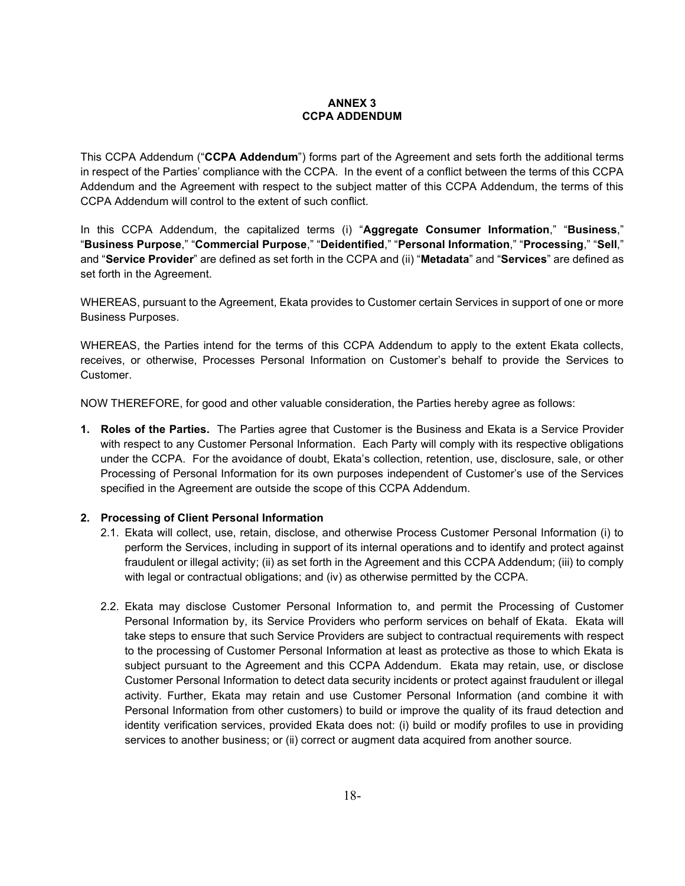#### ANNEX 3 CCPA ADDENDUM

This CCPA Addendum ("CCPA Addendum") forms part of the Agreement and sets forth the additional terms in respect of the Parties' compliance with the CCPA. In the event of a conflict between the terms of this CCPA Addendum and the Agreement with respect to the subject matter of this CCPA Addendum, the terms of this CCPA Addendum will control to the extent of such conflict.

In this CCPA Addendum, the capitalized terms (i) "Aggregate Consumer Information," "Business," "Business Purpose," "Commercial Purpose," "Deidentified," "Personal Information," "Processing," "Sell," and "Service Provider" are defined as set forth in the CCPA and (ii) "Metadata" and "Services" are defined as set forth in the Agreement.

WHEREAS, pursuant to the Agreement, Ekata provides to Customer certain Services in support of one or more Business Purposes.

WHEREAS, the Parties intend for the terms of this CCPA Addendum to apply to the extent Ekata collects, receives, or otherwise, Processes Personal Information on Customer's behalf to provide the Services to Customer.

NOW THEREFORE, for good and other valuable consideration, the Parties hereby agree as follows:

1. Roles of the Parties. The Parties agree that Customer is the Business and Ekata is a Service Provider with respect to any Customer Personal Information. Each Party will comply with its respective obligations under the CCPA. For the avoidance of doubt, Ekata's collection, retention, use, disclosure, sale, or other Processing of Personal Information for its own purposes independent of Customer's use of the Services specified in the Agreement are outside the scope of this CCPA Addendum.

## 2. Processing of Client Personal Information

- 2.1. Ekata will collect, use, retain, disclose, and otherwise Process Customer Personal Information (i) to perform the Services, including in support of its internal operations and to identify and protect against fraudulent or illegal activity; (ii) as set forth in the Agreement and this CCPA Addendum; (iii) to comply with legal or contractual obligations; and (iv) as otherwise permitted by the CCPA.
- 2.2. Ekata may disclose Customer Personal Information to, and permit the Processing of Customer Personal Information by, its Service Providers who perform services on behalf of Ekata. Ekata will take steps to ensure that such Service Providers are subject to contractual requirements with respect to the processing of Customer Personal Information at least as protective as those to which Ekata is subject pursuant to the Agreement and this CCPA Addendum. Ekata may retain, use, or disclose Customer Personal Information to detect data security incidents or protect against fraudulent or illegal activity. Further, Ekata may retain and use Customer Personal Information (and combine it with Personal Information from other customers) to build or improve the quality of its fraud detection and identity verification services, provided Ekata does not: (i) build or modify profiles to use in providing services to another business; or (ii) correct or augment data acquired from another source.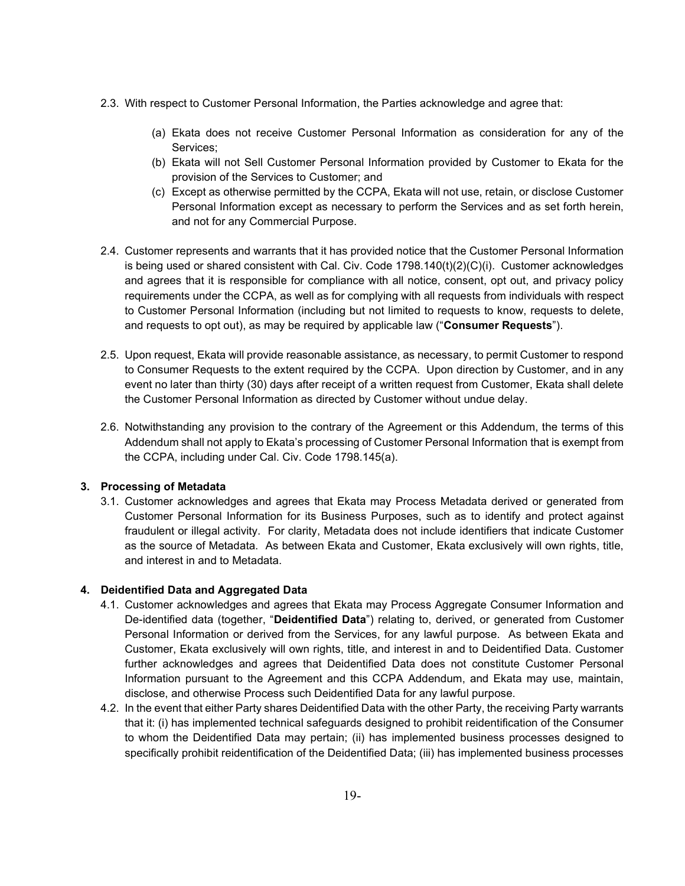- 2.3. With respect to Customer Personal Information, the Parties acknowledge and agree that:
	- (a) Ekata does not receive Customer Personal Information as consideration for any of the Services;
	- (b) Ekata will not Sell Customer Personal Information provided by Customer to Ekata for the provision of the Services to Customer; and
	- (c) Except as otherwise permitted by the CCPA, Ekata will not use, retain, or disclose Customer Personal Information except as necessary to perform the Services and as set forth herein, and not for any Commercial Purpose.
- 2.4. Customer represents and warrants that it has provided notice that the Customer Personal Information is being used or shared consistent with Cal. Civ. Code 1798.140(t)(2)(C)(i). Customer acknowledges and agrees that it is responsible for compliance with all notice, consent, opt out, and privacy policy requirements under the CCPA, as well as for complying with all requests from individuals with respect to Customer Personal Information (including but not limited to requests to know, requests to delete, and requests to opt out), as may be required by applicable law ("Consumer Requests").
- 2.5. Upon request, Ekata will provide reasonable assistance, as necessary, to permit Customer to respond to Consumer Requests to the extent required by the CCPA. Upon direction by Customer, and in any event no later than thirty (30) days after receipt of a written request from Customer, Ekata shall delete the Customer Personal Information as directed by Customer without undue delay.
- 2.6. Notwithstanding any provision to the contrary of the Agreement or this Addendum, the terms of this Addendum shall not apply to Ekata's processing of Customer Personal Information that is exempt from the CCPA, including under Cal. Civ. Code 1798.145(a).

## 3. Processing of Metadata

3.1. Customer acknowledges and agrees that Ekata may Process Metadata derived or generated from Customer Personal Information for its Business Purposes, such as to identify and protect against fraudulent or illegal activity. For clarity, Metadata does not include identifiers that indicate Customer as the source of Metadata. As between Ekata and Customer, Ekata exclusively will own rights, title, and interest in and to Metadata.

## 4. Deidentified Data and Aggregated Data

- 4.1. Customer acknowledges and agrees that Ekata may Process Aggregate Consumer Information and De-identified data (together, "Deidentified Data") relating to, derived, or generated from Customer Personal Information or derived from the Services, for any lawful purpose. As between Ekata and Customer, Ekata exclusively will own rights, title, and interest in and to Deidentified Data. Customer further acknowledges and agrees that Deidentified Data does not constitute Customer Personal Information pursuant to the Agreement and this CCPA Addendum, and Ekata may use, maintain, disclose, and otherwise Process such Deidentified Data for any lawful purpose.
- 4.2. In the event that either Party shares Deidentified Data with the other Party, the receiving Party warrants that it: (i) has implemented technical safeguards designed to prohibit reidentification of the Consumer to whom the Deidentified Data may pertain; (ii) has implemented business processes designed to specifically prohibit reidentification of the Deidentified Data; (iii) has implemented business processes